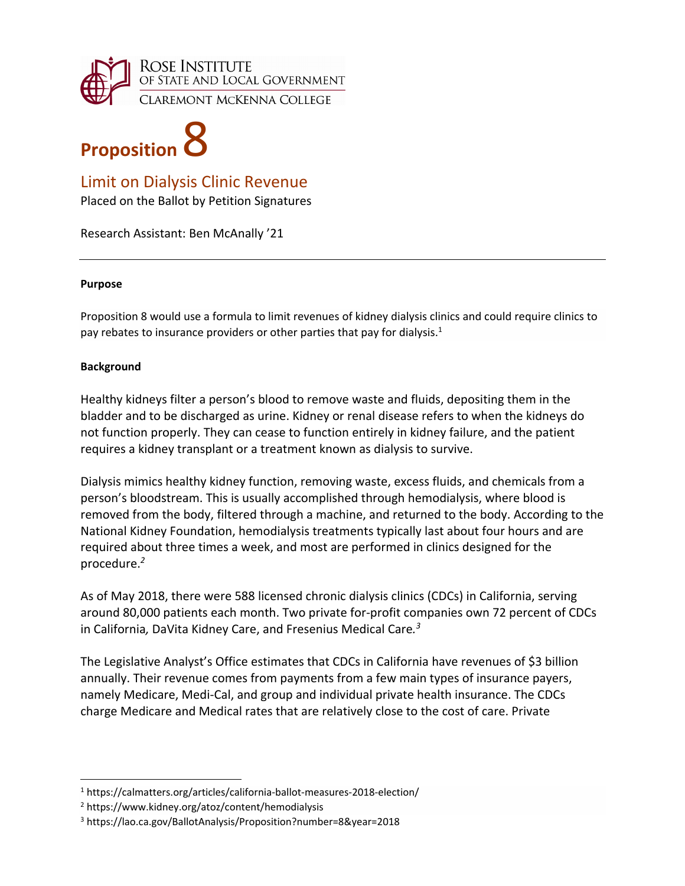

# **Proposition**

# Limit on Dialysis Clinic Revenue

Placed on the Ballot by Petition Signatures

Research Assistant: Ben McAnally '21

#### **Purpose**

Proposition 8 would use a formula to limit revenues of kidney dialysis clinics and could require clinics to pay rebates to insurance providers or other parties that pay for dialysis.<sup>1</sup>

## **Background**

Healthy kidneys filter a person's blood to remove waste and fluids, depositing them in the bladder and to be discharged as urine. Kidney or renal disease refers to when the kidneys do not function properly. They can cease to function entirely in kidney failure, and the patient requires a kidney transplant or a treatment known as dialysis to survive.

Dialysis mimics healthy kidney function, removing waste, excess fluids, and chemicals from a person's bloodstream. This is usually accomplished through hemodialysis, where blood is removed from the body, filtered through a machine, and returned to the body. According to the National Kidney Foundation, hemodialysis treatments typically last about four hours and are required about three times a week, and most are performed in clinics designed for the procedure.*<sup>2</sup>*

As of May 2018, there were 588 licensed chronic dialysis clinics (CDCs) in California, serving around 80,000 patients each month. Two private for‐profit companies own 72 percent of CDCs in California*,* DaVita Kidney Care, and Fresenius Medical Care*. 3*

The Legislative Analyst's Office estimates that CDCs in California have revenues of \$3 billion annually. Their revenue comes from payments from a few main types of insurance payers, namely Medicare, Medi‐Cal, and group and individual private health insurance. The CDCs charge Medicare and Medical rates that are relatively close to the cost of care. Private

<sup>1</sup> [https://calmatters.org/articles/california](https://calmatters.org/articles/california%E2%80%90ballot%E2%80%90measures%E2%80%902018%E2%80%90election/)-ballot-measures-2018-election/

<sup>2</sup> <https://www.kidney.org/atoz/content/hemodialysis>

<sup>3</sup> <https://lao.ca.gov/BallotAnalysis/Proposition?number=8&year=2018>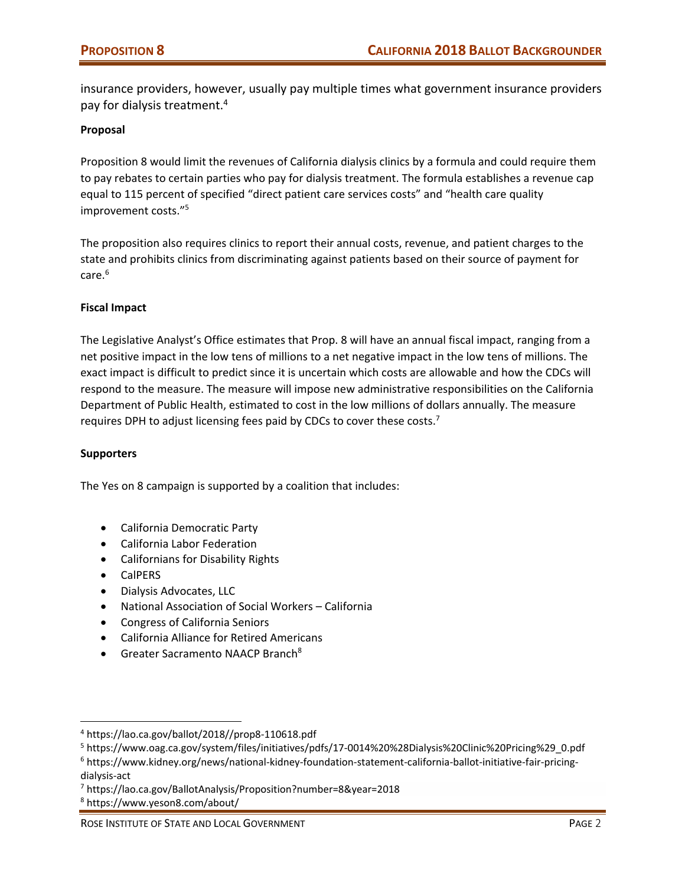insurance providers, however, usually pay multiple times what government insurance providers pay for dialysis treatment.4

#### **Proposal**

Proposition 8 would limit the revenues of California dialysis clinics by a formula and could require them to pay rebates to certain parties who pay for dialysis treatment. The formula establishes a revenue cap equal to 115 percent of specified "direct patient care services costs" and "health care quality improvement costs."5

The proposition also requires clinics to report their annual costs, revenue, and patient charges to the state and prohibits clinics from discriminating against patients based on their source of payment for  $care.<sup>6</sup>$ 

#### **Fiscal Impact**

The Legislative Analyst's Office estimates that Prop. 8 will have an annual fiscal impact, ranging from a net positive impact in the low tens of millions to a net negative impact in the low tens of millions. The exact impact is difficult to predict since it is uncertain which costs are allowable and how the CDCs will respond to the measure. The measure will impose new administrative responsibilities on the California Department of Public Health, estimated to cost in the low millions of dollars annually. The measure requires DPH to adjust licensing fees paid by CDCs to cover these costs.<sup>7</sup>

#### **Supporters**

The Yes on 8 campaign is supported by a coalition that includes:

- California Democratic Party
- California Labor Federation
- Californians for Disability Rights
- CalPERS
- Dialysis Advocates, LLC
- National Association of Social Workers California
- Congress of California Seniors
- California Alliance for Retired Americans
- **•** Greater Sacramento NAACP Branch<sup>8</sup>

<sup>4</sup> [https://lao.ca.gov/ballot/2018//prop8](https://lao.ca.gov/ballot/2018//prop8%E2%80%90110618.pdf)‐110618.pdf

<sup>5</sup> [https://www.oag.ca.gov/system/files/initiatives/pdfs/17](https://www.oag.ca.gov/system/files/initiatives/pdfs/17%E2%80%900014%20%28Dialysis%20Clinic%20Pricing%29_0.pdf)‐0014%20%28Dialysis%20Clinic%20Pricing%29\_0.pdf

<sup>6</sup> [https://www.kidney.org/news/national](https://www.kidney.org/news/national%E2%80%90kidney%E2%80%90foundation%E2%80%90statement%E2%80%90california%E2%80%90ballot%E2%80%90initiative%E2%80%90fair%E2%80%90pricing%E2%80%90dialysis%E2%80%90act)‐kidney‐foundation‐statement‐california‐ballot‐initiative‐fair‐pricing‐ dialysis‐[act](https://www.kidney.org/news/national%E2%80%90kidney%E2%80%90foundation%E2%80%90statement%E2%80%90california%E2%80%90ballot%E2%80%90initiative%E2%80%90fair%E2%80%90pricing%E2%80%90dialysis%E2%80%90act)

<sup>7</sup> <https://lao.ca.gov/BallotAnalysis/Proposition?number=8&year=2018>

<sup>8</sup> <https://www.yeson8.com/about/>

ROSE INSTITUTE OF STATE AND LOCAL GOVERNMENT **BEEN ASSESSED ASSESSED ASSESSED ASSESSED** PAGE 2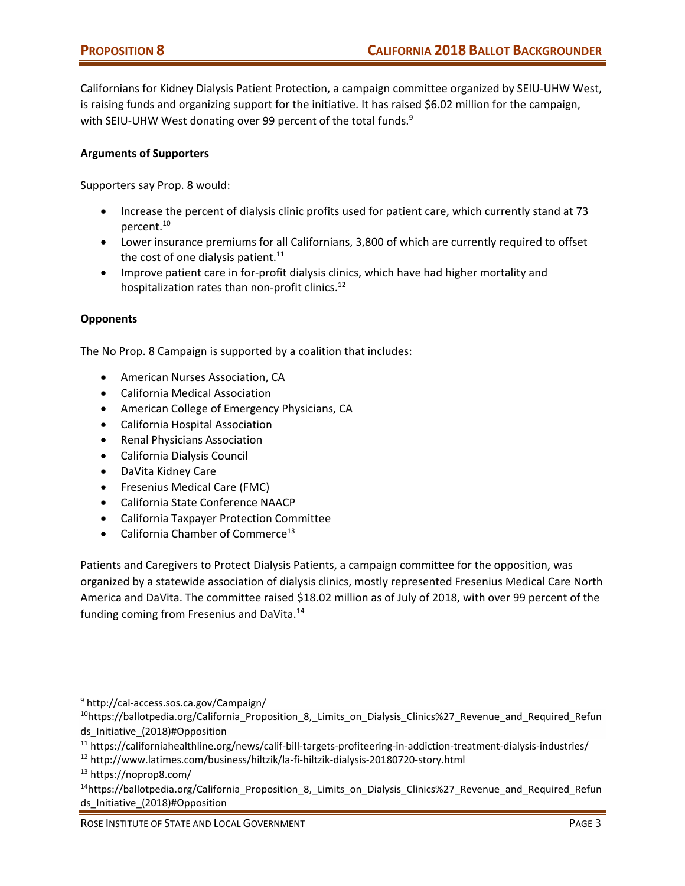Californians for Kidney Dialysis Patient Protection, a campaign committee organized by SEIU‐UHW West, is raising funds and organizing support for the initiative. It has raised \$6.02 million for the campaign, with SEIU-UHW West donating over 99 percent of the total funds.<sup>9</sup>

### **Arguments of Supporters**

Supporters say Prop. 8 would:

- Increase the percent of dialysis clinic profits used for patient care, which currently stand at 73 percent.10
- Lower insurance premiums for all Californians, 3,800 of which are currently required to offset the cost of one dialysis patient.<sup>11</sup>
- Improve patient care in for‐profit dialysis clinics, which have had higher mortality and hospitalization rates than non-profit clinics.<sup>12</sup>

#### **Opponents**

The No Prop. 8 Campaign is supported by a coalition that includes:

- American Nurses Association, CA
- California Medical Association
- American College of Emergency Physicians, CA
- California Hospital Association
- Renal Physicians Association
- California Dialysis Council
- DaVita Kidney Care
- Fresenius Medical Care (FMC)
- California State Conference NAACP
- California Taxpayer Protection Committee
- $\bullet$  California Chamber of Commerce<sup>13</sup>

Patients and Caregivers to Protect Dialysis Patients, a campaign committee for the opposition, was organized by a statewide association of dialysis clinics, mostly represented Fresenius Medical Care North America and DaVita. The committee raised \$18.02 million as of July of 2018, with over 99 percent of the funding coming from Fresenius and DaVita.<sup>14</sup>

<sup>12</sup> [http://www.latimes.com/business/hiltzik/la](http://www.latimes.com/business/hiltzik/la%E2%80%90fi%E2%80%90hiltzik%E2%80%90dialysis%E2%80%9020180720%E2%80%90story.html)‐fi‐hiltzik‐dialysis‐20180720‐story.html

<sup>9</sup> http://cal‐[access.sos.ca.gov/Campaign/](http://cal%E2%80%90access.sos.ca.gov/Campaign/)

<sup>&</sup>lt;sup>10</sup>https://ballotpedia.org/California\_Proposition\_8,\_Limits\_on\_Dialysis\_Clinics%27\_Revenue\_and\_Required\_Refun ds\_Initiative\_(2018)#Opposition

<sup>11</sup> [https://californiahealthline.org/news/calif](https://californiahealthline.org/news/calif%E2%80%90bill%E2%80%90targets%E2%80%90profiteering%E2%80%90in%E2%80%90addiction%E2%80%90treatment%E2%80%90dialysis%E2%80%90industries/)-bill-targets-profiteering-in-addiction-treatment-dialysis-industries/

<sup>13</sup> <https://noprop8.com/>

<sup>&</sup>lt;sup>14</sup>https://ballotpedia.org/California Proposition 8, Limits on Dialysis Clinics%27 Revenue and Required Refun ds\_Initiative\_(2018)#Opposition